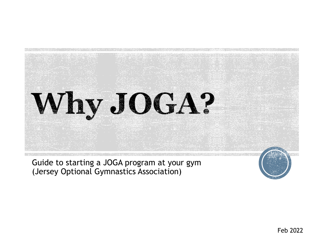

Guide to starting a JOGA program at your gym (Jersey Optional Gymnastics Association)

Feb 2022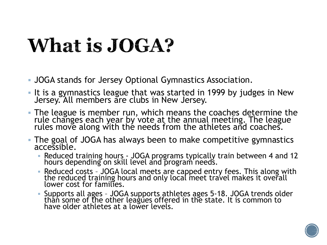# **What is JOGA?**

- JOGA stands for Jersey Optional Gymnastics Association.
- It is a gymnastics league that was started in 1999 by judges in New Jersey. All members are clubs in New Jersey.
- The league is member run, which means the coaches determine the rule changes each year by vote at the annual meeting. The league rules move along with the needs from the athletes and coaches.
- The goal of JOGA has always been to make competitive gymnastics accessible.
	- Reduced training hours JOGA programs typically train between 4 and 12 hours depending on skill level and program needs.
	- Reduced costs JOGA local meets are capped entry fees. This along with the reduced training hours and only local meet travel makes it overall lower cost for families.
	- Supports all ages JOGA supports athletes ages 5-18. JOGA trends older than some of the other leagues offered in the state. It is common to have older athletes at a lower levels.

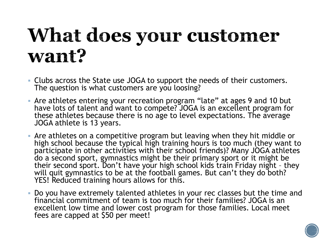## What does your customer want?

- Clubs across the State use JOGA to support the needs of their customers. The question is what customers are you loosing?
- Are athletes entering your recreation program "late" at ages 9 and 10 but have lots of talent and want to compete? JOGA is an excellent program for these athletes because there is no age to level expectations. The average JOGA athlete is 13 years.
- Are athletes on a competitive program but leaving when they hit middle or high school because the typical high training hours is too much (they want to participate in other activities with their school friends)? Many JOGA athletes do a second sport, gymnastics might be their primary sport or it might be their second sport. Don't have your high school kids train Friday night – they will quit gymnastics to be at the football games. But can't they do both? YES! Reduced training hours allows for this.
- Do you have extremely talented athletes in your rec classes but the time and financial commitment of team is too much for their families? JOGA is an excellent low time and lower cost program for those families. Local meet fees are capped at \$50 per meet!

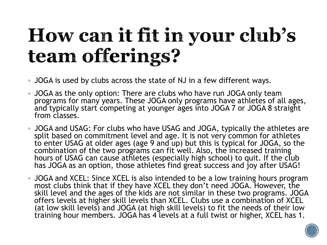# How can it fit in your club's team offerings?

- JOGA is used by clubs across the state of NJ in a few different ways.
- JOGA as the only option: There are clubs who have run JOGA only team programs for many years. These JOGA only programs have athletes of all ages, and typically start competing at younger ages into JOGA 7 or JOGA 8 straight from classes.
- JOGA and USAG: For clubs who have USAG and JOGA, typically the athletes are split based on commitment level and age. It is not very common for athletes to enter USAG at older ages (age 9 and up) but this is typical for JOGA, so the combination of the two programs can fit well. Also, the increased training hours of USAG can cause athletes (especially high school) to quit. If the club has JOGA as an option, those athletes find great success and joy after USAG!
- JOGA and XCEL: Since XCEL is also intended to be a low training hours program most clubs think that if they have XCEL they don't need JOGA. However, the skill level and the ages of the kids are not similar in these two programs. JOGA offers levels at higher skill levels than XCEL. Clubs use a combination of XCEL (at low skill levels) and JOGA (at high skill levels) to fit the needs of their low training hour members. JOGA has 4 levels at a full twist or higher, XCEL has 1.

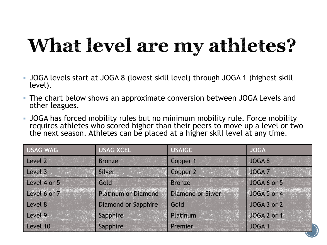# What level are my athletes?

- JOGA levels start at JOGA 8 (lowest skill level) through JOGA 1 (highest skill level).
- The chart below shows an approximate conversion between JOGA Levels and other leagues.
- JOGA has forced mobility rules but no minimum mobility rule. Force mobility requires athletes who scored higher than their peers to move up a level or two the next season. Athletes can be placed at a higher skill level at any time.

| <b>USAG WAG</b> | <b>USAG XCEL</b>           | <b>USAIGC</b>            | <b>JOGA</b>       |
|-----------------|----------------------------|--------------------------|-------------------|
| Level 2         | <b>Bronze</b>              | Copper 1                 | JOGA 8            |
| Level 3         | Silver                     | Copper 2                 | <b>JOGA 7</b>     |
| Level 4 or 5    | Gold                       | <b>Bronze</b>            | JOGA 6 or 5       |
| Level 6 or 7    | <b>Platinum or Diamond</b> | <b>Diamond or Silver</b> | JOGA 5 or 4       |
| Level 8         | Diamond or Sapphire        | Gold                     | JOGA 3 or 2       |
| Level 9         | Sapphire                   | Platinum                 | JOGA 2 or 1       |
| Level 10        | Sapphire                   | Premier                  | JOGA <sub>1</sub> |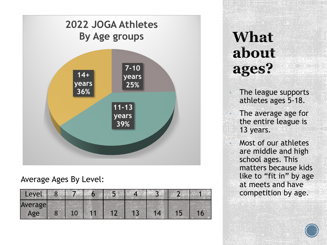

### Average Ages By Level:

| Level   | 8 |  | 5 |  |  |
|---------|---|--|---|--|--|
| Average |   |  |   |  |  |
| Age     |   |  |   |  |  |

### What about ages?

• The league supports athletes ages 5-18.

The average age for the entire league is 13 years.

• Most of our athletes are middle and high school ages. This matters because kids like to "fit in" by age at meets and have competition by age.

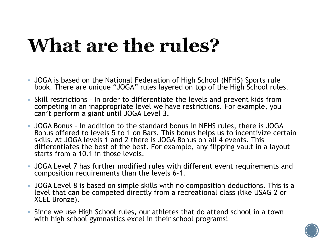## What are the rules?

- JOGA is based on the National Federation of High School (NFHS) Sports rule book. There are unique "JOGA" rules layered on top of the High School rules.
- Skill restrictions In order to differentiate the levels and prevent kids from competing in an inappropriate level we have restrictions. For example, you can't perform a giant until JOGA Level 3.
- JOGA Bonus In addition to the standard bonus in NFHS rules, there is JOGA Bonus offered to levels 5 to 1 on Bars. This bonus helps us to incentivize certain skills. At JOGA levels 1 and 2 there is JOGA Bonus on all 4 events. This differentiates the best of the best. For example, any flipping vault in a layout starts from a 10.1 in those levels.
- JOGA Level 7 has further modified rules with different event requirements and composition requirements than the levels 6-1.
- JOGA Level 8 is based on simple skills with no composition deductions. This is a level that can be competed directly from a recreational class (like USAG 2 or XCEL Bronze).
- Since we use High School rules, our athletes that do attend school in a town with high school gymnastics excel in their school programs!

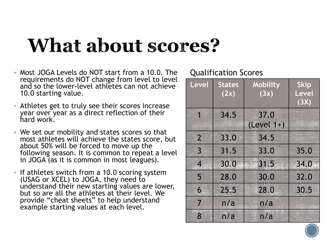### **What about scores?**

- Most JOGA Levels do NOT start from a 10.0. The requirements do NOT change from level to level and so the lower-level athletes can not achieve 10.0 starting value.
- Athletes get to truly see their scores increase year over year as a direct reflection of their hard work.
- We set our mobility and states scores so that most athletes will achieve the states score, but about 50% will be forced to move up the following season. It is common to repeat a level in JOGA (as it is common in most leagues).
- If athletes switch from a 10.0 scoring system (USAG or XCEL) to JOGA, they need to understand their new starting values are lower, but so are all the athletes at their level. We provide "cheat sheets" to help understand example starting values at each level.

#### Qualification Scores

| <b>Level</b>             | <b>States</b><br>(2x) | Mobility<br>(3x)     | <b>Skip</b><br>Level<br>(3X) |
|--------------------------|-----------------------|----------------------|------------------------------|
| 1                        | 34.5                  | 37.0<br>$(Level 1+)$ |                              |
| $\overline{2}$           | 33.0                  | 34.5                 |                              |
| $\overline{3}$           | 31.5                  | 33.0                 | 35.0                         |
| $\overline{\mathcal{A}}$ | 30.0                  | 31.5                 | 34.0                         |
| 5                        | 28.0                  | 30.0                 | 32.0                         |
| 6                        | 25.5                  | 28.0                 | 30.5                         |
| 7                        | n/a                   | n/a                  |                              |
| 8                        | n/a                   | n/a                  |                              |